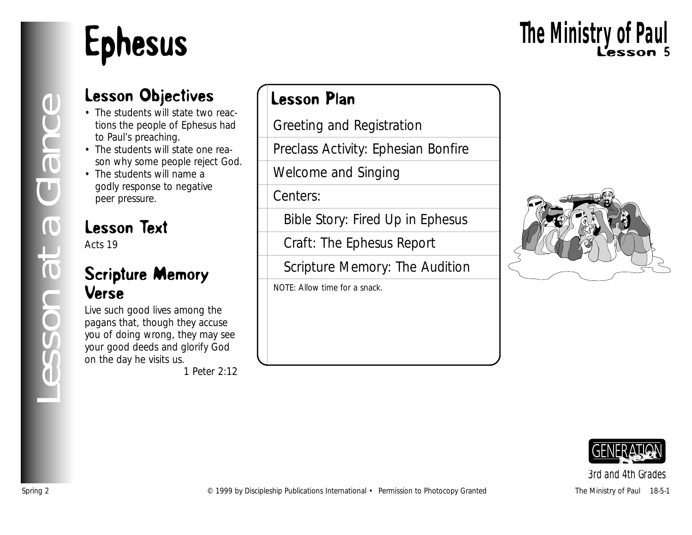

# Lesson 5 **The Ministry of Paul**

# Lesson Objectives

- The students will state two reactions the people of Ephesus had to Paul's preaching.
- The students will state one reason why some people reject God.
- The students will name a godly response to negative peer pressure.

# Lesson Text

Acts 19

*Lesson at a Glance*

esson at a Glance

# Scripture Memory Verse

Live such good lives among the pagans that, though they accuse you of doing wrong, they may see your good deeds and glorify God on the day he visits us.

*1 Peter 2:12*

# Lesson Plan

Greeting and Registration

Preclass Activity: Ephesian Bonfire

Welcome and Singing

Centers:

Bible Story: Fired Up in Ephesus

Craft: The Ephesus Report

Scripture Memory: The Audition

NOTE: Allow time for a snack.



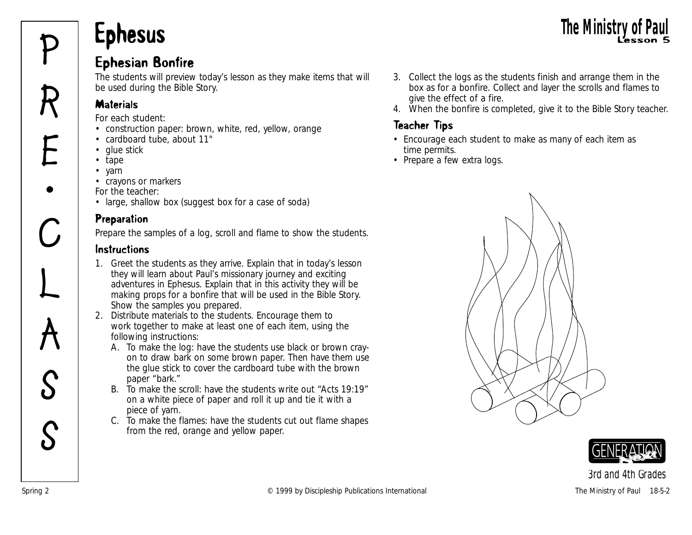# Ephesus The Ministry of Paul **The Ministry of Phesis Contrary of Paul Contrary of Phesison 5<br>
Prophesian Bonfire**

# Ephesian Bonfire

The students will preview today's lesson as they make items that will be used during the Bible Story.

# **Materials**

**R**

**E**

**•**

**C**

**L**

**A**

**S**

**S**

*For each student:*

- construction paper: brown, white, red, yellow, orange
- cardboard tube, about 11"
- glue stick
- tape
- yarn
- crayons or markers
- *For the teacher:*
- large, shallow box (suggest box for a case of soda)

# Preparation

Prepare the samples of a log, scroll and flame to show the students.

## Instructions

- 1. Greet the students as they arrive. Explain that in today's lesson they will learn about Paul's missionary journey and exciting adventures in Ephesus. Explain that in this activity they will be making props for a bonfire that will be used in the Bible Story. Show the samples you prepared.
- 2. Distribute materials to the students. Encourage them to work together to make at least one of each item, using the following instructions:
	- A. To make the log: have the students use black or brown crayon to draw bark on some brown paper. Then have them use the glue stick to cover the cardboard tube with the brown paper "bark."
	- B. To make the scroll: have the students write out "Acts 19:19" on a white piece of paper and roll it up and tie it with a piece of yarn.
	- C. To make the flames: have the students cut out flame shapes from the red, orange and yellow paper.
- 3. Collect the logs as the students finish and arrange them in the box as for a bonfire. Collect and layer the scrolls and flames to give the effect of a fire.
- 4. When the bonfire is completed, give it to the Bible Story teacher.

# Teacher Tips

- Encourage each student to make as many of each item as time permits.
- Prepare a few extra logs.



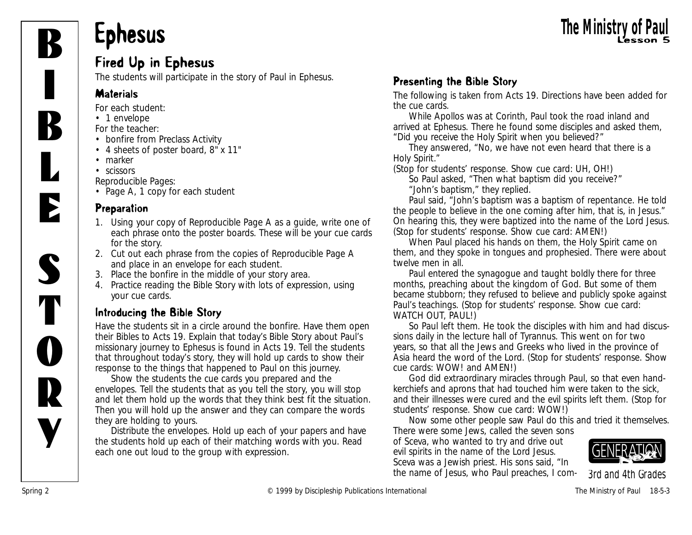# Ephesus The Ministry of Paul

# Fired Up in Ephesus

The students will participate in the story of Paul in Ephesus.

#### **Materials**

*For each student:*

- 1 envelope
- *For the teacher:*
- bonfire from Preclass Activity
- 4 sheets of poster board, 8" x 11"
- marker
- scissors

*Reproducible Pages:*

• Page A, 1 copy for each student

# Preparation

- 1. Using your copy of Reproducible Page A as a guide, write one of each phrase onto the poster boards. These will be your cue cards for the story.
- 2. Cut out each phrase from the copies of Reproducible Page A and place in an envelope for each student.
- 3. Place the bonfire in the middle of your story area.
- 4. Practice reading the Bible Story with lots of expression, using your cue cards.

# Introducing the Bible Story

Have the students sit in a circle around the bonfire. Have them open their Bibles to Acts 19. Explain that today's Bible Story about Paul's missionary journey to Ephesus is found in Acts 19. Tell the students that throughout today's story, they will hold up cards to show their response to the things that happened to Paul on this journey.

Show the students the cue cards you prepared and the envelopes. Tell the students that as you tell the story, you will stop and let them hold up the words that they think best fit the situation. Then you will hold up the answer and they can compare the words they are holding to yours.

Distribute the envelopes. Hold up each of your papers and have the students hold up each of their matching words with you. Read each one out loud to the group with expression.

# Presenting the Bible Story

The following is taken from Acts 19. Directions have been added for the cue cards.

While Apollos was at Corinth, Paul took the road inland and arrived at Ephesus. There he found some disciples and asked them, "Did you receive the Holy Spirit when you believed?"

They answered, "No, we have not even heard that there is a Holy Spirit."

(Stop for students' response. Show cue card: UH, OH!)

So Paul asked, "Then what baptism did you receive?" "John's baptism," they replied.

Paul said, "John's baptism was a baptism of repentance. He told the people to believe in the one coming after him, that is, in Jesus." On hearing this, they were baptized into the name of the Lord Jesus. (Stop for students' response. Show cue card: AMEN!)

When Paul placed his hands on them, the Holy Spirit came on them, and they spoke in tongues and prophesied. There were about twelve men in all.

Paul entered the synagogue and taught boldly there for three months, preaching about the kingdom of God. But some of them became stubborn; they refused to believe and publicly spoke against Paul's teachings. (Stop for students' response. Show cue card: WATCH OUT, PAUL!)

So Paul left them. He took the disciples with him and had discussions daily in the lecture hall of Tyrannus. This went on for two years, so that all the Jews and Greeks who lived in the province of Asia heard the word of the Lord. (Stop for students' response. Show cue cards: WOW! and AMEN!)

God did extraordinary miracles through Paul, so that even handkerchiefs and aprons that had touched him were taken to the sick, and their illnesses were cured and the evil spirits left them. (Stop for students' response. Show cue card: WOW!)

Now some other people saw Paul do this and tried it themselves.

There were some Jews, called the seven sons of Sceva, who wanted to try and drive out evil spirits in the name of the Lord Jesus. Sceva was a Jewish priest. His sons said, "In the name of Jesus, who Paul preaches, I com-



*3rd and 4th Grades*

Y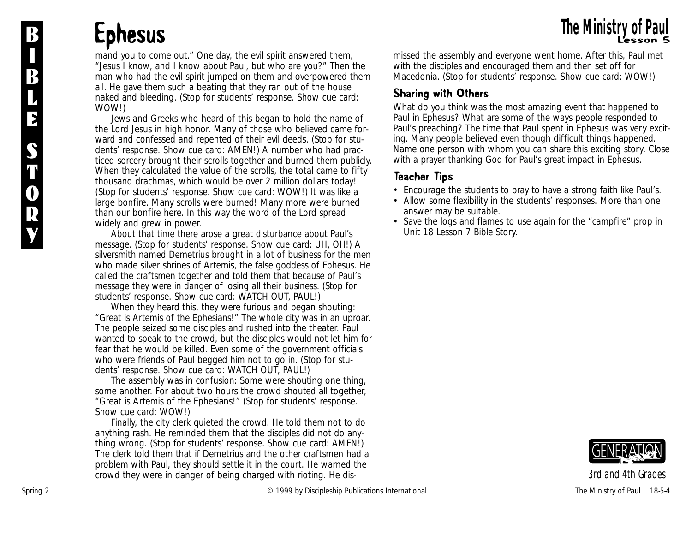# Ephesus The Ministry of Paul **Ephesus** The Ministry of Paul

mand you to come out." One day, the evil spirit answered them, "Jesus I know, and I know about Paul, but who are you?" Then the man who had the evil spirit jumped on them and overpowered them all. He gave them such a beating that they ran out of the house naked and bleeding. (Stop for students' response. Show cue card: WOW!)

Jews and Greeks who heard of this began to hold the name of the Lord Jesus in high honor. Many of those who believed came forward and confessed and repented of their evil deeds. (Stop for students' response. Show cue card: AMEN!) A number who had practiced sorcery brought their scrolls together and burned them publicly. When they calculated the value of the scrolls, the total came to fifty thousand drachmas, which would be over 2 million dollars today! (Stop for students' response. Show cue card: WOW!) It was like a large bonfire. Many scrolls were burned! Many more were burned than our bonfire here. In this way the word of the Lord spread widely and grew in power.

About that time there arose a great disturbance about Paul's message. (Stop for students' response. Show cue card: UH, OH!) A silversmith named Demetrius brought in a lot of business for the men who made silver shrines of Artemis, the false goddess of Ephesus. He called the craftsmen together and told them that because of Paul's message they were in danger of losing all their business. (Stop for students' response. Show cue card: WATCH OUT, PAUL!)

When they heard this, they were furious and began shouting: "Great is Artemis of the Ephesians!" The whole city was in an uproar. The people seized some disciples and rushed into the theater. Paul wanted to speak to the crowd, but the disciples would not let him for fear that he would be killed. Even some of the government officials who were friends of Paul begged him not to go in. (Stop for students' response. Show cue card: WATCH OUT, PAUL!)

The assembly was in confusion: Some were shouting one thing, some another. For about two hours the crowd shouted all together, "Great is Artemis of the Ephesians!" (Stop for students' response. Show cue card: WOW!)

Finally, the city clerk quieted the crowd. He told them not to do anything rash. He reminded them that the disciples did not do anything wrong. (Stop for students' response. Show cue card: AMEN!) The clerk told them that if Demetrius and the other craftsmen had a problem with Paul, they should settle it in the court. He warned the crowd they were in danger of being charged with rioting. He dismissed the assembly and everyone went home. After this, Paul met with the disciples and encouraged them and then set off for Macedonia. (Stop for students' response. Show cue card: WOW!)

#### Sharing with Others

*What do you think was the most amazing event that happened to Paul in Ephesus? What are some of the ways people responded to Paul's preaching? The time that Paul spent in Ephesus was very exciting. Many people believed even though difficult things happened. Name one person with whom you can share this exciting story.* Close with a prayer thanking God for Paul's great impact in Ephesus.

# Teacher Tips

- Encourage the students to pray to have a strong faith like Paul's.
- Allow some flexibility in the students' responses. More than one answer may be suitable.
- Save the logs and flames to use again for the "campfire" prop in Unit 18 Lesson 7 Bible Story.

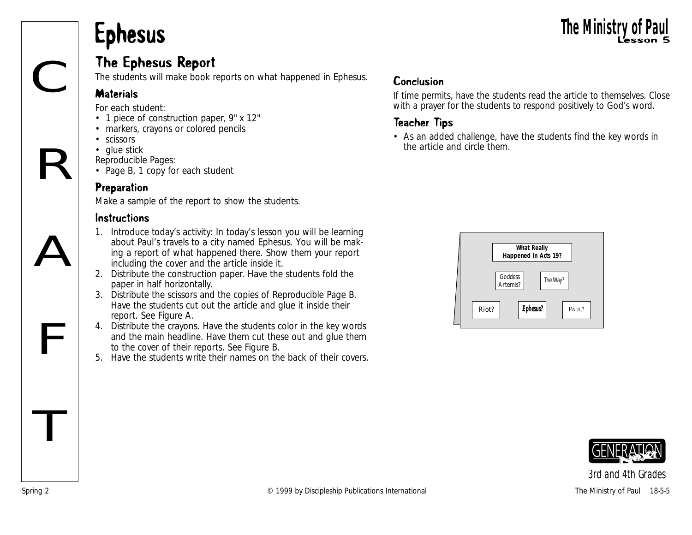# The Ephesus Report

The students will make book reports on what happened in Ephesus.

## **Materials**

*For each student:*

- 1 piece of construction paper, 9" x 12"
- markers, crayons or colored pencils
- scissors
- glue stick

*Reproducible Pages:*

• Page B, 1 copy for each student

# Preparation

Make a sample of the report to show the students.

# Instructions

F

T

C

R

- 1. Introduce today's activity: *In today's lesson you will be learning about Paul's travels to a city named Ephesus. You will be making a report of what happened there.* Show them your report including the cover and the article inside it.
- 2. Distribute the construction paper. Have the students fold the paper in half horizontally.
- 3. Distribute the scissors and the copies of Reproducible Page B. Have the students cut out the article and glue it inside their report. See Figure A.
- 4. Distribute the crayons. Have the students color in the key words and the main headline. Have them cut these out and glue them to the cover of their reports. See Figure B.
- 5. Have the students write their names on the back of their covers.

# Conclusion

If time permits, have the students read the article to themselves. Close with a prayer for the students to respond positively to God's word.

# Teacher Tips

• As an added challenge, have the students find the key words in the article and circle them.



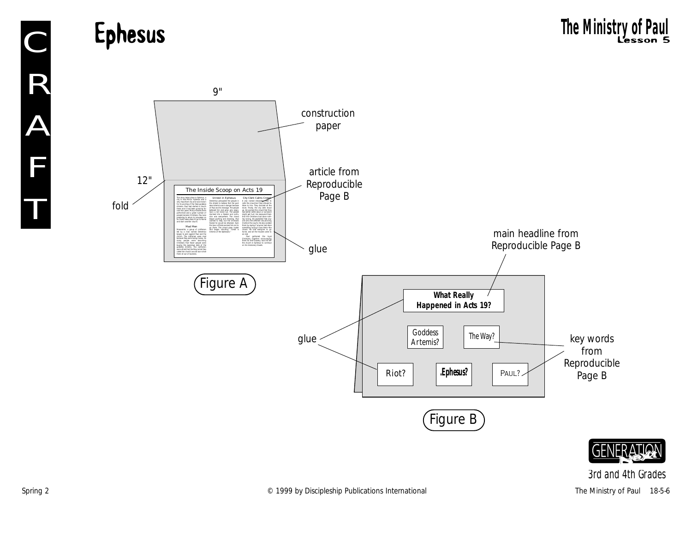

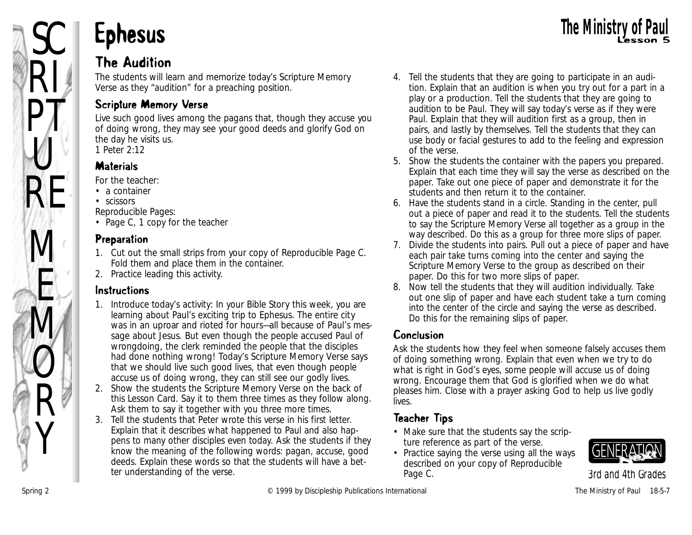# The Audition

The students will learn and memorize today's Scripture Memory Verse as they "audition" for a preaching position.

# Scripture Memory Verse

Live such good lives among the pagans that, though they accuse you of doing wrong, they may see your good deeds and glorify God on the day he visits us. *1 Peter 2:12*

# **Materials**

RI

 $PT_c$ 

 $\bigcup$ 

RE

M

k<br>M

M

 $\mathcal O$ 

R

Y

*For the teacher:*

- a container
- scissors
- *Reproducible Pages:*
- Page C, 1 copy for the teacher

# Preparation

- 1. Cut out the small strips from your copy of Reproducible Page C. Fold them and place them in the container.
- 2. Practice leading this activity.

# Instructions

- 1. Introduce today's activity: *In your Bible Story this week, you are learning about Paul's exciting trip to Ephesus. The entire city was in an uproar and rioted for hours—all because of Paul's message about Jesus. But even though the people accused Paul of wrongdoing, the clerk reminded the people that the disciples had done nothing wrong! Today's Scripture Memory Verse says that we should live such good lives, that even though people accuse us of doing wrong, they can still see our godly lives.*
- 2. Show the students the Scripture Memory Verse on the back of this Lesson Card. Say it to them three times as they follow along. Ask them to say it together with you three more times.
- 3. Tell the students that Peter wrote this verse in his first letter. Explain that it describes what happened to Paul and also happens to many other disciples even today. Ask the students if they know the meaning of the following words: pagan, accuse, good deeds. Explain these words so that the students will have a better understanding of the verse.
- 4. Tell the students that they are going to participate in an audition. Explain that an audition is when you try out for a part in a play or a production. Tell the students that they are going to audition to be Paul. They will say today's verse as if they were Paul. Explain that they will audition first as a group, then in pairs, and lastly by themselves. Tell the students that they can use body or facial gestures to add to the feeling and expression of the verse.
- 5. Show the students the container with the papers you prepared. Explain that each time they will say the verse as described on the paper. Take out one piece of paper and demonstrate it for the students and then return it to the container.
- 6. Have the students stand in a circle. Standing in the center, pull out a piece of paper and read it to the students. Tell the students to say the Scripture Memory Verse all together as a group in the way described. Do this as a group for three more slips of paper.
- 7. Divide the students into pairs. Pull out a piece of paper and have each pair take turns coming into the center and saying the Scripture Memory Verse to the group as described on their paper. Do this for two more slips of paper.
- 8. Now tell the students that they will audition individually. Take out one slip of paper and have each student take a turn coming into the center of the circle and saying the verse as described. Do this for the remaining slips of paper.

# Conclusion

Ask the students how they feel when someone falsely accuses them of doing something wrong. Explain that even when we try to do what is right in God's eyes, some people will accuse us of doing wrong. Encourage them that God is glorified when we do what pleases him. Close with a prayer asking God to help us live godly lives.

# Teacher Tips

- Make sure that the students say the scripture reference as part of the verse.
- Practice saying the verse using all the ways described on your copy of Reproducible Page C.

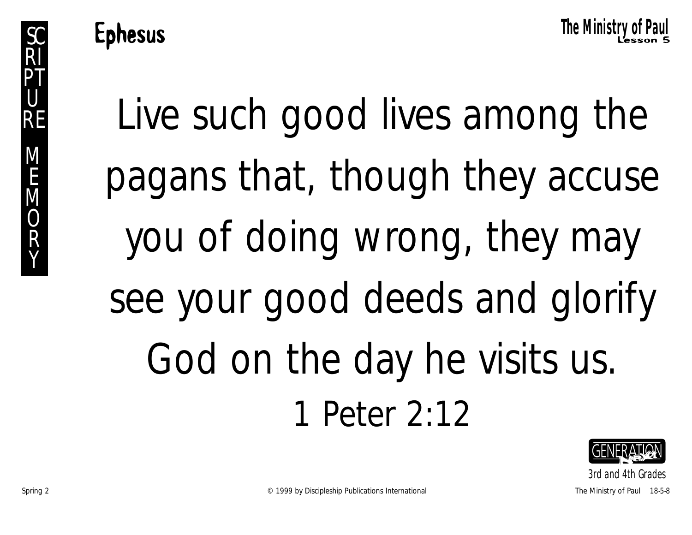Ephesus The Ministry of Paul **The Ministry of Paul Science of Paul Science of Paul Science of Paul Science of Paul Science of Paul Science of Paul Science of Paul Science of Paul Science of Paul Science of Paul Science of Paul Science of Paul Science** 

Live such good lives among the pagans that, though they accuse you of doing wrong, they may see your good deeds and glorify God on the day he visits us. 1 Peter 2:12

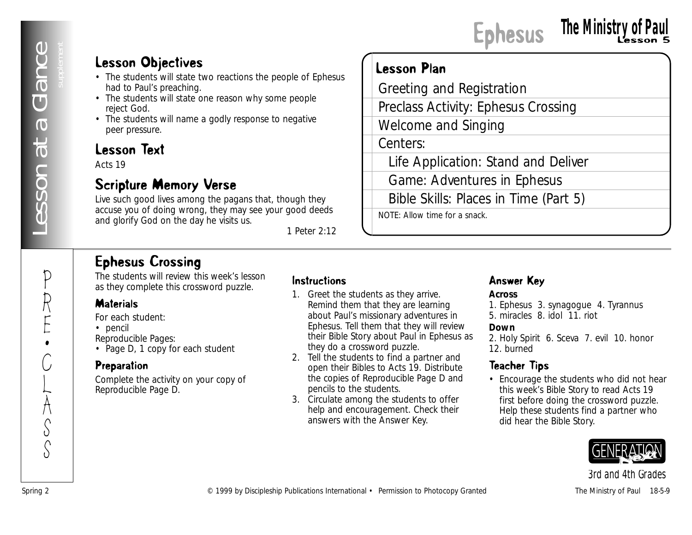P

R

E •

C

L

 $\sum_{i=1}^{n}$ 

 $\sum_{i=1}^{n}$ S

## Ephesus **The Ministry of Paul**

# Lesson Objectives

- The students will state two reactions the people of Ephesus had to Paul's preaching.
- The students will state one reason why some people reject God.
- The students will name a godly response to negative peer pressure.

# Lesson Text

Acts 19

# Scripture Memory Verse

Live such good lives among the pagans that, though they accuse you of doing wrong, they may see your good deeds and glorify God on the day he visits us.

*1 Peter 2:12*

# Ephesus Crossing

The students will review this week's lesson as they complete this crossword puzzle.

## **Materials**

*For each student:*

• pencil

*Reproducible Pages:*

• Page D, 1 copy for each student

# Preparation

Complete the activity on your copy of Reproducible Page D.

#### Instructions

**Lesson Objectives**<br>
The andmostration of the product of the Minister Constrainer Constrainer and Spring Constrainer and Spring Precises Sectionly Permission Constitute of the Minister Constrainer and Spring Constrainer an 1. Greet the students as they arrive. Remind them that they are learning about Paul's missionary adventures in Ephesus. Tell them that they will review their Bible Story about Paul in Ephesus as they do a crossword puzzle.

Lesson Plan

Centers:

Greeting and Registration

Welcome and Singing

NOTE: Allow time for a snack.

Preclass Activity: Ephesus Crossing

Game: Adventures in Ephesus

Life Application: Stand and Deliver

Bible Skills: Places in Time (Part 5)

- 2. Tell the students to find a partner and open their Bibles to Acts 19. Distribute the copies of Reproducible Page D and pencils to the students.
- 3. Circulate among the students to offer help and encouragement. Check their answers with the Answer Key.

# Answer Key

#### **Across**

1. Ephesus 3. synagogue 4. Tyrannus 5. miracles 8. idol 11. riot

#### **Down**

2. Holy Spirit 6. Sceva 7. evil 10. honor 12. burned

# Teacher Tips

• Encourage the students who did not hear this week's Bible Story to read Acts 19 first before doing the crossword puzzle. Help these students find a partner who did hear the Bible Story.

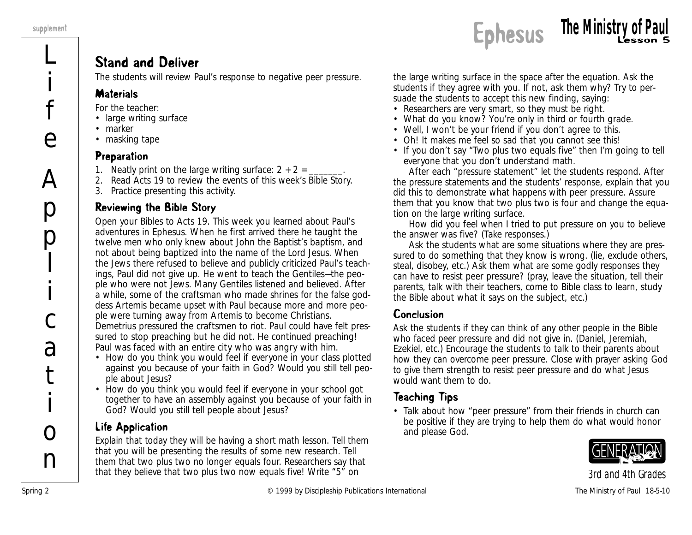

1. Neatly print on the large writing surface:  $2 + 2 =$ 

2. Read Acts 19 to review the events of this week's Bible Story.

The students will review Paul's response to negative peer pressure.

3. Practice presenting this activity.

#### Reviewing the Bible Story

**Materials** 

• marker • masking tape

Preparation

*For the teacher:* • large writing surface

Stand and Deliver

Open your Bibles to Acts 19. *This week you learned about Paul's adventures in Ephesus. When he first arrived there he taught the twelve men who only knew about John the Baptist's baptism, and not about being baptized into the name of the Lord Jesus. When the Jews there refused to believe and publicly criticized Paul's teachings, Paul did not give up. He went to teach the Gentiles—the people who were not Jews. Many Gentiles listened and believed. After a while, some of the craftsman who made shrines for the false goddess Artemis became upset with Paul because more and more people were turning away from Artemis to become Christians. Demetrius pressured the craftsmen to riot. Paul could have felt pressured to stop preaching but he did not. He continued preaching! Paul was faced with an entire city who was angry with him.*

- *How do you think you would feel if everyone in your class plotted against you because of your faith in God? Would you still tell people about Jesus?*
- *How do you think you would feel if everyone in your school got together to have an assembly against you because of your faith in God? Would you still tell people about Jesus?*

#### Life Application

Explain that today they will be having a short math lesson. Tell them that you will be presenting the results of some new research. Tell them that two plus two no longer equals four. Researchers say that that they believe that two plus two now equals five! Write "5" on

the large writing surface in the space after the equation. Ask the students if they agree with you. If not, ask them why? Try to persuade the students to accept this new finding, saying:

- *Researchers are very smart, so they must be right.*
- *What do you know? You're only in third or fourth grade.*
- *Well, I won't be your friend if you don't agree to this.*
- *Oh! It makes me feel so sad that you cannot see this!*
- *If you don't say "Two plus two equals five" then I'm going to tell everyone that you don't understand math.*

After each "pressure statement" let the students respond. After the pressure statements and the students' response, explain that you did this to demonstrate what happens with peer pressure. Assure them that you know that two plus two is four and change the equation on the large writing surface.

*How did you feel when I tried to put pressure on you to believe the answer was five?* (Take responses.)

Ask the students what are some situations where they are pressured to do something that they know is wrong. (lie, exclude others, steal, disobey, etc.) Ask them what are some godly responses they can have to resist peer pressure? (pray, leave the situation, tell their parents, talk with their teachers, come to Bible class to learn, study the Bible about what it says on the subject, etc.)

#### Conclusion

Ask the students if they can think of any other people in the Bible who faced peer pressure and did not give in. (Daniel, Jeremiah, Ezekiel, etc.) Encourage the students to talk to their parents about how they can overcome peer pressure. Close with prayer asking God to give them strength to resist peer pressure and do what Jesus would want them to do.

# Teaching Tips

• Talk about how "peer pressure" from their friends in church can be positive if they are trying to help them do what would honor and please God.

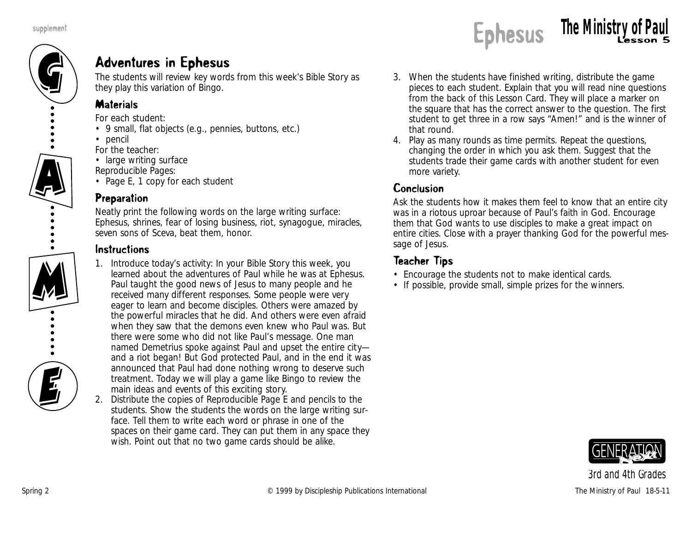

# Adventures in Ephesus

The students will review key words from this week's Bible Story as they play this variation of Bingo.

### **Materials**

*For each student:*

- 9 small, flat objects (e.g., pennies, buttons, etc.)
- pencil

*For the teacher:*

• large writing surface

*Reproducible Pages:*

• Page E, 1 copy for each student

#### Preparation

Neatly print the following words on the large writing surface: Ephesus, shrines, fear of losing business, riot, synagogue, miracles, seven sons of Sceva, beat them, honor.

#### **Instructions**

- 1. Introduce today's activity: *In your Bible Story this week, you learned about the adventures of Paul while he was at Ephesus. Paul taught the good news of Jesus to many people and he received many different responses. Some people were very eager to learn and become disciples. Others were amazed by the powerful miracles that he did. And others were even afraid when they saw that the demons even knew who Paul was. But there were some who did not like Paul's message. One man named Demetrius spoke against Paul and upset the entire city and a riot began! But God protected Paul, and in the end it was announced that Paul had done nothing wrong to deserve such treatment. Today we will play a game like Bingo to review the main ideas and events of this exciting story.*
- 2. Distribute the copies of Reproducible Page E and pencils to the students. Show the students the words on the large writing surface. Tell them to write each word or phrase in one of the spaces on their game card. They can put them in any space they wish. Point out that no two game cards should be alike.
- 3. When the students have finished writing, distribute the game pieces to each student. Explain that you will read nine questions from the back of this Lesson Card. They will place a marker on the square that has the correct answer to the question. The first student to get three in a row says "Amen!" and is the winner of that round.
- 4. Play as many rounds as time permits. Repeat the questions, changing the order in which you ask them. Suggest that the students trade their game cards with another student for even more variety.

# Conclusion

Ask the students how it makes them feel to know that an entire city was in a riotous uproar because of Paul's faith in God. Encourage them that God wants to use disciples to make a great impact on entire cities. Close with a prayer thanking God for the powerful message of Jesus.

# Teacher Tips

- Encourage the students not to make identical cards.
- If possible, provide small, simple prizes for the winners.

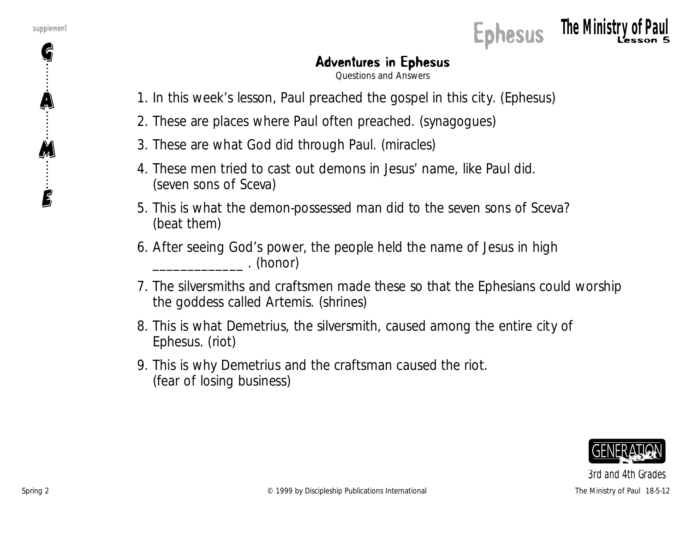

G

A

M

E



# Adventures in Ephesus

Questions and Answers

- *1. In this week's lesson, Paul preached the gospel in this city*. (Ephesus)
- *2. These are places where Paul often preached*. (synagogues)
- *3. These are what God did through Paul*. (miracles)
- *4. These men tried to cast out demons in Jesus' name, like Paul did*. (seven sons of Sceva)
- *5. This is what the demon-possessed man did to the seven sons of Sceva?* (beat them)
- *6. After seeing God's power, the people held the name of Jesus in high* \_\_\_\_\_\_\_\_\_\_\_\_\_ . (honor)
- *7. The silversmiths and craftsmen made these so that the Ephesians could worship the goddess called Artemis.* (shrines)
- *8. This is what Demetrius, the silversmith, caused among the entire city of Ephesus*. (riot)
- *9. This is why Demetrius and the craftsman caused the riot*. (fear of losing business)

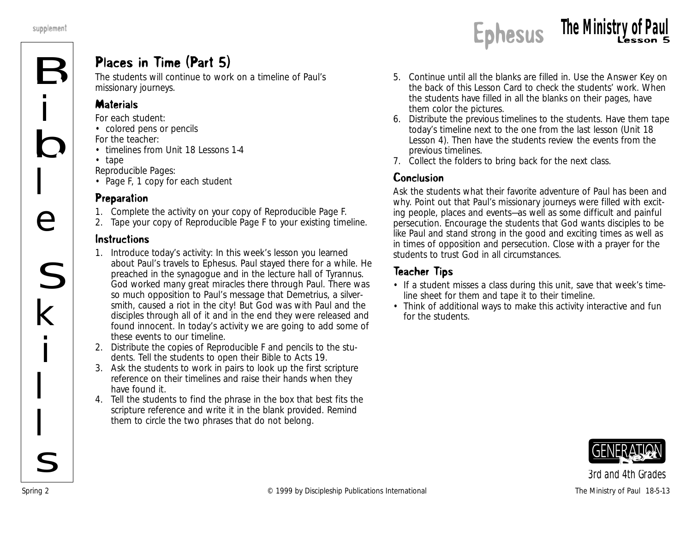# Places in Time (Part 5)

The students will continue to work on a timeline of Paul's missionary journeys.

### **Materials**

*For each student:*

- colored pens or pencils
- *For the teacher:*
- timelines from Unit 18 Lessons 1-4
- tape

*Reproducible Pages:*

• Page F, 1 copy for each student

#### Preparation

- 1. Complete the activity on your copy of Reproducible Page F.
- 2. Tape your copy of Reproducible Page F to your existing timeline.

### Instructions

- 1. Introduce today's activity: *In this week's lesson you learned about Paul's travels to Ephesus. Paul stayed there for a while. He preached in the synagogue and in the lecture hall of Tyrannus. God worked many great miracles there through Paul. There was so much opposition to Paul's message that Demetrius, a silversmith, caused a riot in the city! But God was with Paul and the disciples through all of it and in the end they were released and found innocent. In today's activity we are going to add some of these events to our timeline.*
- 2. Distribute the copies of Reproducible F and pencils to the students. Tell the students to open their Bible to Acts 19.
- 3. Ask the students to work in pairs to look up the first scripture reference on their timelines and raise their hands when they have found it.
- 4. Tell the students to find the phrase in the box that best fits the scripture reference and write it in the blank provided. Remind them to circle the two phrases that do not belong.
- 5. Continue until all the blanks are filled in. Use the Answer Key on the back of this Lesson Card to check the students' work. When the students have filled in all the blanks on their pages, have them color the pictures.
- 6. Distribute the previous timelines to the students. Have them tape today's timeline next to the one from the last lesson (Unit 18 Lesson 4). Then have the students review the events from the previous timelines.
- 7. Collect the folders to bring back for the next class.

# Conclusion

Ask the students what their favorite adventure of Paul has been and why. Point out that Paul's missionary journeys were filled with exciting people, places and events—as well as some difficult and painful persecution. Encourage the students that God wants disciples to be like Paul and stand strong in the good and exciting times as well as in times of opposition and persecution. Close with a prayer for the students to trust God in all circumstances.

# Teacher Tips

- If a student misses a class during this unit, save that week's timeline sheet for them and tape it to their timeline.
- Think of additional ways to make this activity interactive and fun for the students.

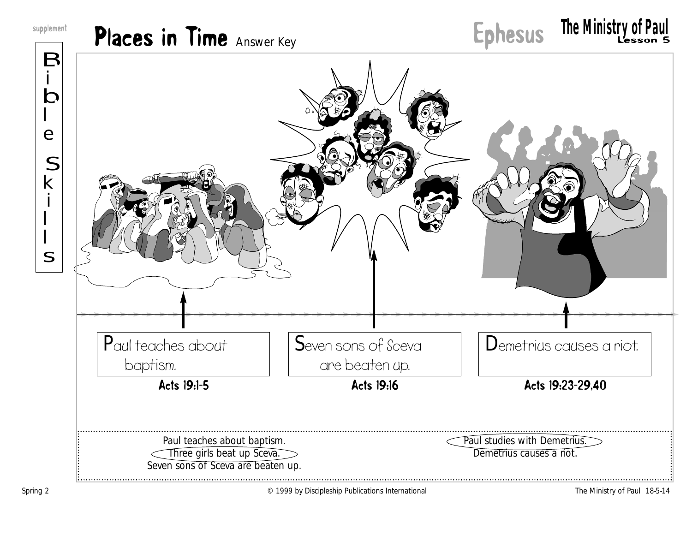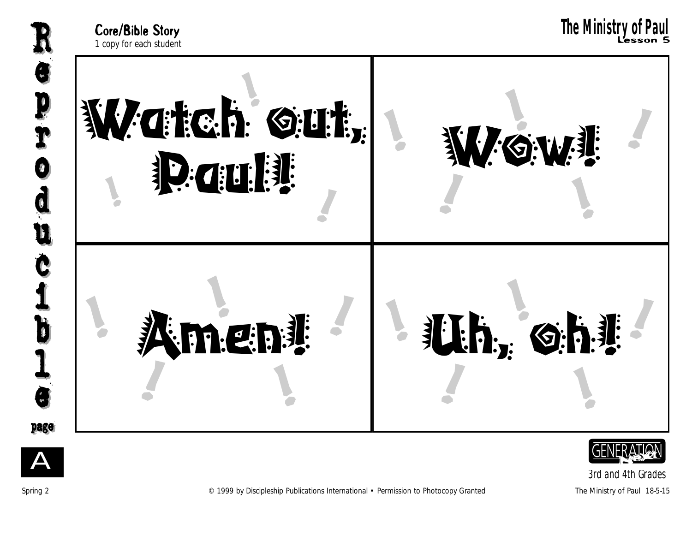**Core/Bible Story**<br>1 copy for each student

The Ministry of Paul





*3rd and 4th Grades*

Spring 2 © 1999 by Discipleship Publications International • Permission to Photocopy Granted The Ministry of Paul 18-5-15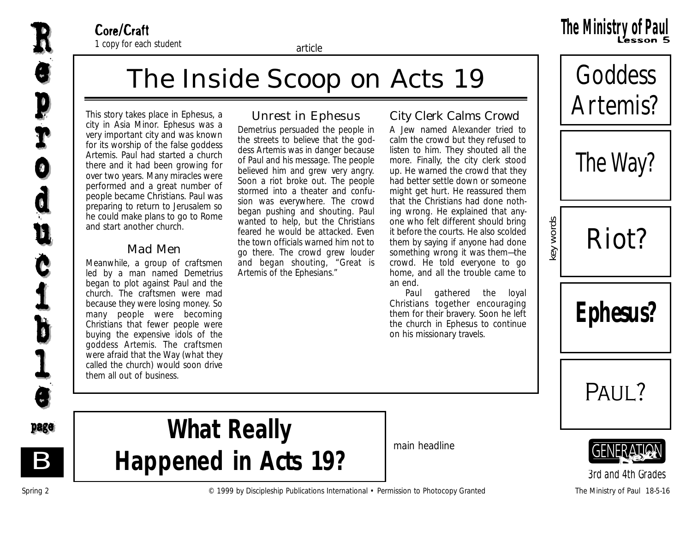**Core/Craft**<br>1 copy for each student **The Ministry of Paul**<br>
The Ministry of Paul Resson 5<br>
The Ministry of Paul Resson 5

# The Inside Scoop on Acts 19 | Goddess

This story takes place in Ephesus, a city in Asia Minor. Ephesus was a very important city and was known for its worship of the false goddess Artemis. Paul had started a church there and it had been growing for over two years. Many miracles were performed and a great number of people became Christians. Paul was preparing to return to Jerusalem so he could make plans to go to Rome and start another church.

# Mad Men

Meanwhile, a group of craftsmen led by a man named Demetrius began to plot against Paul and the church. The craftsmen were mad because they were losing money. So many people were becoming Christians that fewer people were buying the expensive idols of the goddess Artemis. The craftsmen were afraid that the Way (what they called the church) would soon drive them all out of business.

# Unrest in Ephesus

Demetrius persuaded the people in the streets to believe that the goddess Artemis was in danger because of Paul and his message. The people believed him and grew very angry. Soon a riot broke out. The people stormed into a theater and confusion was everywhere. The crowd began pushing and shouting. Paul wanted to help, but the Christians feared he would be attacked. Even the town officials warned him not to go there. The crowd grew louder and began shouting, "Great is Artemis of the Ephesians."

## City Clerk Calms Crowd

A Jew named Alexander tried to calm the crowd but they refused to listen to him. They shouted all the more. Finally, the city clerk stood up. He warned the crowd that they had better settle down or someone might get hurt. He reassured them that the Christians had done nothing wrong. He explained that anyone who felt different should bring it before the courts. He also scolded them by saying if anyone had done something wrong it was them—the crowd. He told everyone to go home, and all the trouble came to an end.

Paul gathered the loyal Christians together encouraging them for their bravery. Soon he left the church in Ephesus to continue on his missionary travels.



The Ministry of Paul

Artemis?







main headline



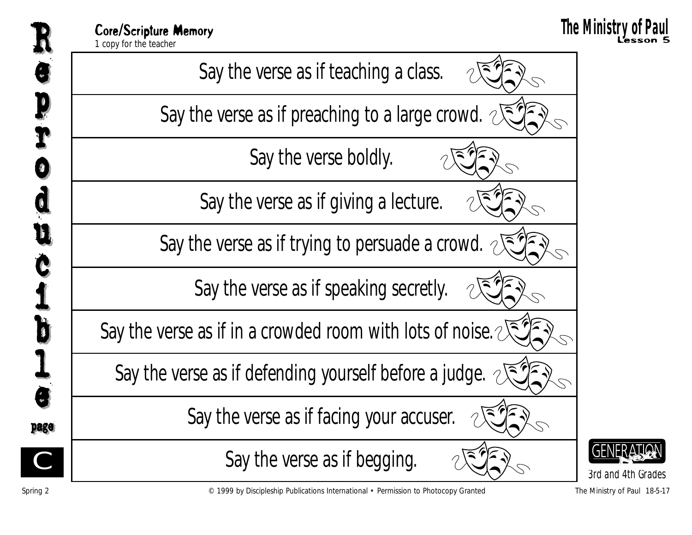

C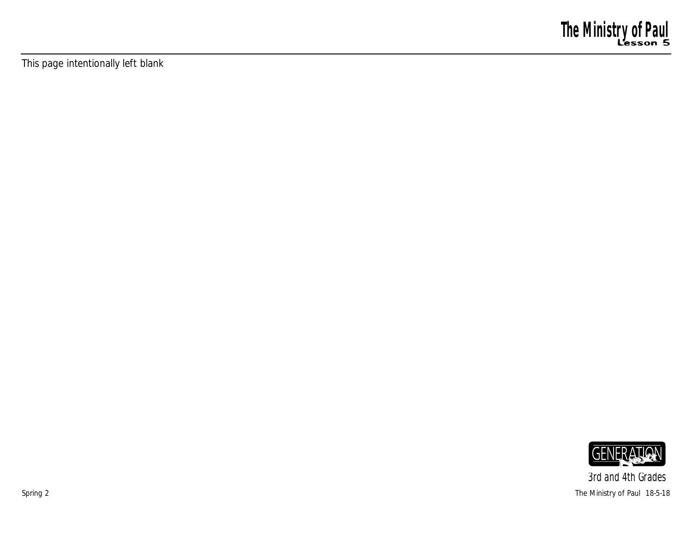This page intentionally left blank



Spring 2 The Ministry of Paul 18-5-18 *3rd and 4th Grades*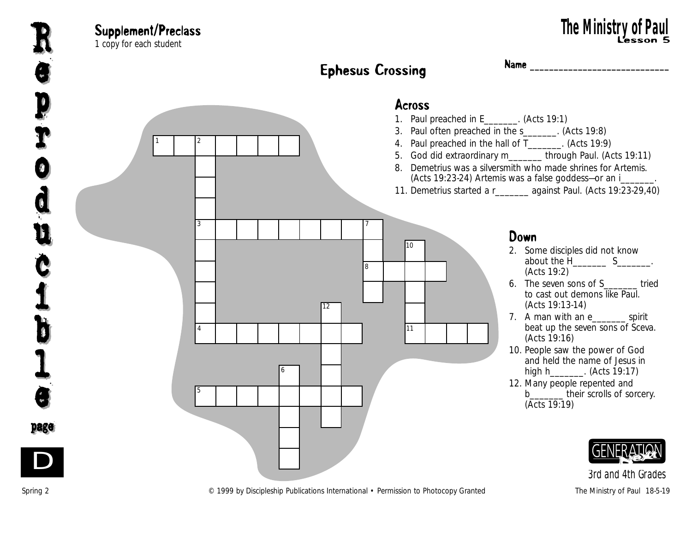|               | Supplement/Preclass<br>1 copy for each student | <b>The Ministry of Paul</b>                                                         |                                                                                                                                                                                                                                                                                                                                                                                                                                                             |  |
|---------------|------------------------------------------------|-------------------------------------------------------------------------------------|-------------------------------------------------------------------------------------------------------------------------------------------------------------------------------------------------------------------------------------------------------------------------------------------------------------------------------------------------------------------------------------------------------------------------------------------------------------|--|
|               |                                                | <b>Ephesus Crossing</b>                                                             | <b>Name</b> __________________                                                                                                                                                                                                                                                                                                                                                                                                                              |  |
| <b>D</b><br>T | 2                                              | <b>Across</b>                                                                       | 1. Paul preached in E________. (Acts 19:1)<br>3. Paul often preached in the s_______. (Acts 19:8)<br>4. Paul preached in the hall of T_______. (Acts 19:9)<br>5. God did extraordinary m_______ through Paul. (Acts 19:11)<br>8. Demetrius was a silversmith who made shrines for Artemis.<br>(Acts 19:23-24) Artemis was a false goddess-or an i<br>11. Demetrius started a r_______ against Paul. (Acts 19:23-29,40)                                      |  |
| page          | 3<br>4                                         | 10<br>8<br>12 <sup>°</sup><br>11<br>6                                               | Down<br>2. Some disciples did not know<br>about the $H$ $S$<br>(Acts 19:2)<br>6. The seven sons of S_______ tried<br>to cast out demons like Paul.<br>(Acts 19:13-14)<br>7. A man with an e________ spirit<br>beat up the seven sons of Sceva.<br>(Acts 19:16)<br>10. People saw the power of God<br>and held the name of Jesus in<br>high h_________. (Acts 19:17)<br>12. Many people repented and<br>b_________ their scrolls of sorcery.<br>(Acts 19:19) |  |
|               |                                                |                                                                                     | 3rd and 4th Grades                                                                                                                                                                                                                                                                                                                                                                                                                                          |  |
| Spring 2      |                                                | © 1999 by Discipleship Publications International • Permission to Photocopy Granted | The Ministry of Paul 18-5-19                                                                                                                                                                                                                                                                                                                                                                                                                                |  |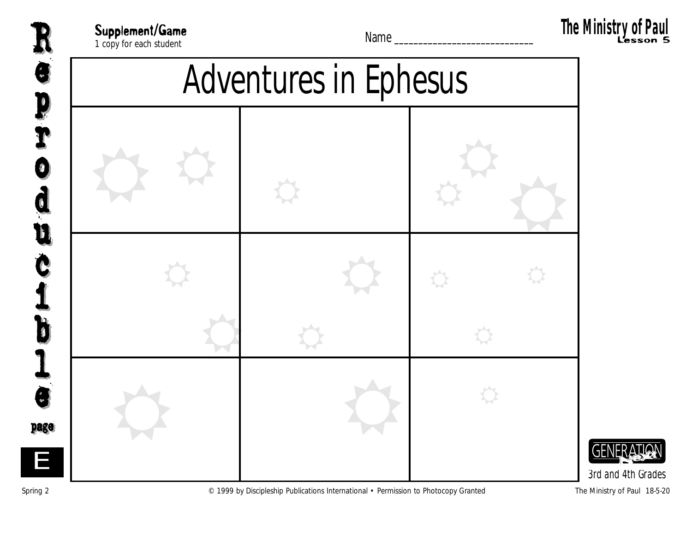Name **\_\_\_\_\_\_\_\_\_\_\_\_\_\_\_\_\_\_\_\_\_\_\_\_\_\_\_\_\_**